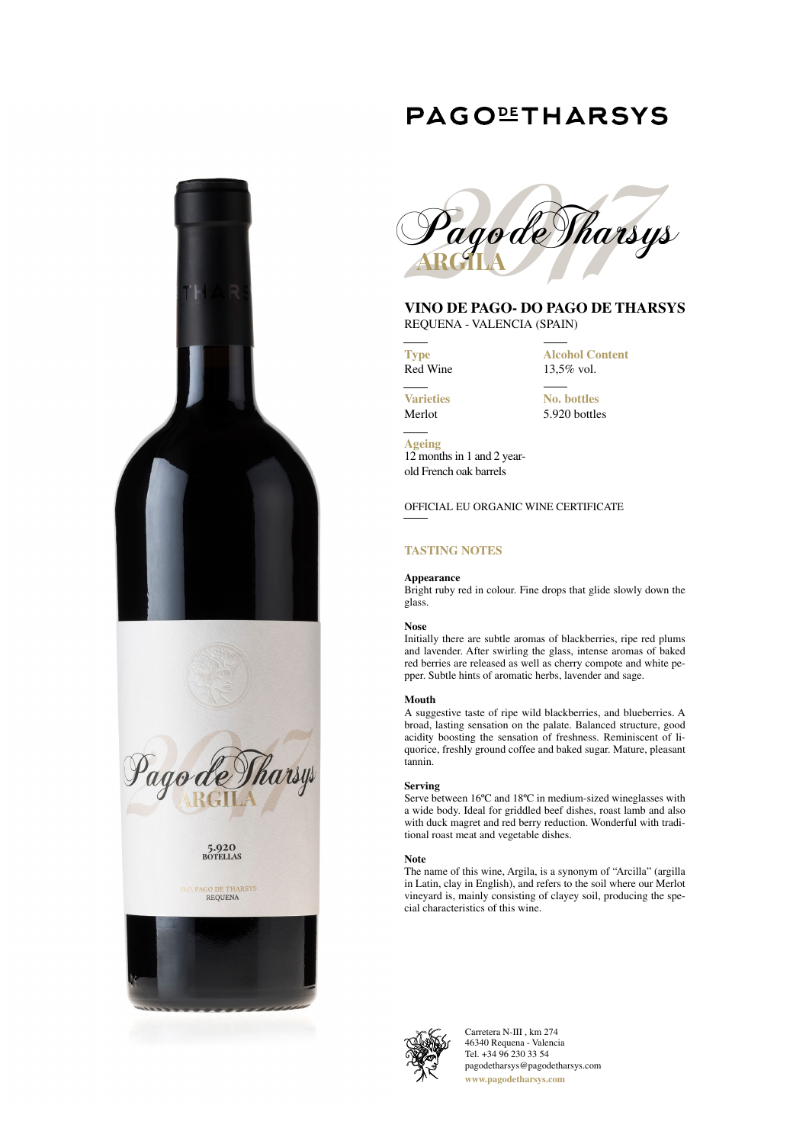# **PAGOLETHARSYS**





5.920<br>BOTELLAS

**D.O. PAGO DE THARSYS<br>REQUENA** 





# **VINO DE PAGO- DO PAGO DE THARSYS** REQUENA - VALENCIA (SPAIN)

**Type** Red Wine

**Alcohol Content** 13,5% vol.

**Varieties** Merlot

**No. bottles** 5.920 bottles

**Ageing** 12 months in 1 and 2 yearold French oak barrels

# OFFICIAL EU ORGANIC WINE CERTIFICATE

# **TASTING NOTES**

### **Appearance**

Bright ruby red in colour. Fine drops that glide slowly down the glass.

#### **Nose**

Initially there are subtle aromas of blackberries, ripe red plums and lavender. After swirling the glass, intense aromas of baked red berries are released as well as cherry compote and white pepper. Subtle hints of aromatic herbs, lavender and sage.

#### **Mouth**

A suggestive taste of ripe wild blackberries, and blueberries. A broad, lasting sensation on the palate. Balanced structure, good acidity boosting the sensation of freshness. Reminiscent of liquorice, freshly ground coffee and baked sugar. Mature, pleasant tannin.

### **Serving**

Serve between 16°C and 18°C in medium-sized wineglasses with a wide body. Ideal for griddled beef dishes, roast lamb and also with duck magret and red berry reduction. Wonderful with traditional roast meat and vegetable dishes.

### **Note**

The name of this wine, Argila, is a synonym of "Arcilla" (argilla in Latin, clay in English), and refers to the soil where our Merlot vineyard is, mainly consisting of clayey soil, producing the special characteristics of this wine.



Carretera N-III , km 274 46340 Requena - Valencia Tel. +34 96 230 33 54 pagodetharsys@pagodetharsys.com **www.pagodetharsys.com**